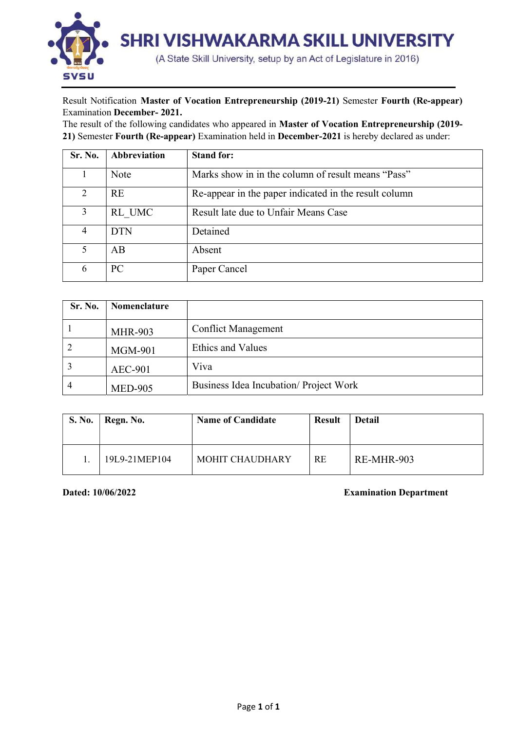

## Result Notification Master of Vocation Entrepreneurship (2019-21) Semester Fourth (Re-appear) Examination December- 2021.

The result of the following candidates who appeared in Master of Vocation Entrepreneurship (2019- 21) Semester Fourth (Re-appear) Examination held in December-2021 is hereby declared as under:

| Sr. No. | <b>Abbreviation</b> | <b>Stand for:</b>                                     |
|---------|---------------------|-------------------------------------------------------|
|         | Note                | Marks show in in the column of result means "Pass"    |
| 2       | <b>RE</b>           | Re-appear in the paper indicated in the result column |
| 3       | RL UMC              | Result late due to Unfair Means Case                  |
| 4       | <b>DTN</b>          | Detained                                              |
| 5       | AB                  | Absent                                                |
| 6       | PC                  | Paper Cancel                                          |

| Sr. No. | <b>Nomenclature</b> |                                        |
|---------|---------------------|----------------------------------------|
|         | <b>MHR-903</b>      | <b>Conflict Management</b>             |
|         | MGM-901             | <b>Ethics and Values</b>               |
|         | <b>AEC-901</b>      | Viva                                   |
|         | <b>MED-905</b>      | Business Idea Incubation/ Project Work |

| <b>S. No.</b> | Regn. No.     | <b>Name of Candidate</b> | <b>Result</b> | Detail     |  |  |  |
|---------------|---------------|--------------------------|---------------|------------|--|--|--|
|               | 19L9-21MEP104 | <b>MOHIT CHAUDHARY</b>   | RE            | RE-MHR-903 |  |  |  |

Dated: 10/06/2022 Examination Department